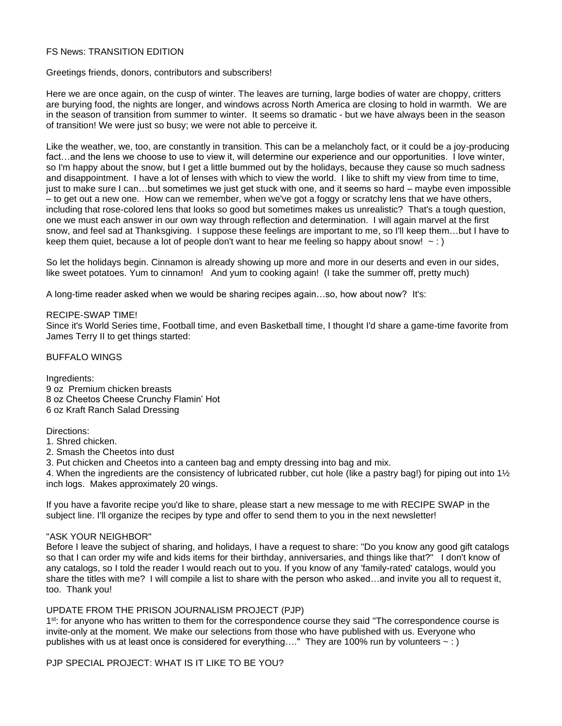# FS News: TRANSITION EDITION

Greetings friends, donors, contributors and subscribers!

Here we are once again, on the cusp of winter. The leaves are turning, large bodies of water are choppy, critters are burying food, the nights are longer, and windows across North America are closing to hold in warmth. We are in the season of transition from summer to winter. It seems so dramatic - but we have always been in the season of transition! We were just so busy; we were not able to perceive it.

Like the weather, we, too, are constantly in transition. This can be a melancholy fact, or it could be a joy-producing fact…and the lens we choose to use to view it, will determine our experience and our opportunities. I love winter, so I'm happy about the snow, but I get a little bummed out by the holidays, because they cause so much sadness and disappointment. I have a lot of lenses with which to view the world. I like to shift my view from time to time, just to make sure I can…but sometimes we just get stuck with one, and it seems so hard – maybe even impossible – to get out a new one. How can we remember, when we've got a foggy or scratchy lens that we have others, including that rose-colored lens that looks so good but sometimes makes us unrealistic? That's a tough question, one we must each answer in our own way through reflection and determination. I will again marvel at the first snow, and feel sad at Thanksgiving. I suppose these feelings are important to me, so I'll keep them…but I have to keep them quiet, because a lot of people don't want to hear me feeling so happy about snow!  $\sim$  : )

So let the holidays begin. Cinnamon is already showing up more and more in our deserts and even in our sides, like sweet potatoes. Yum to cinnamon! And yum to cooking again! (I take the summer off, pretty much)

A long-time reader asked when we would be sharing recipes again…so, how about now? It's:

#### RECIPE-SWAP TIME!

Since it's World Series time, Football time, and even Basketball time, I thought I'd share a game-time favorite from James Terry II to get things started:

BUFFALO WINGS

Ingredients: 9 oz Premium chicken breasts 8 oz Cheetos Cheese Crunchy Flamin' Hot 6 oz Kraft Ranch Salad Dressing

Directions:

1. Shred chicken.

2. Smash the Cheetos into dust

3. Put chicken and Cheetos into a canteen bag and empty dressing into bag and mix.

4. When the ingredients are the consistency of lubricated rubber, cut hole (like a pastry bag!) for piping out into 1<sup>1</sup>/<sub>2</sub> inch logs. Makes approximately 20 wings.

If you have a favorite recipe you'd like to share, please start a new message to me with RECIPE SWAP in the subject line. I'll organize the recipes by type and offer to send them to you in the next newsletter!

#### "ASK YOUR NEIGHBOR"

Before I leave the subject of sharing, and holidays, I have a request to share: "Do you know any good gift catalogs so that I can order my wife and kids items for their birthday, anniversaries, and things like that?" I don't know of any catalogs, so I told the reader I would reach out to you. If you know of any 'family-rated' catalogs, would you share the titles with me? I will compile a list to share with the person who asked…and invite you all to request it, too. Thank you!

## UPDATE FROM THE PRISON JOURNALISM PROJECT (PJP)

1<sup>st</sup>: for anyone who has written to them for the correspondence course they said "The correspondence course is invite-only at the moment. We make our selections from those who have published with us. Everyone who publishes with us at least once is considered for everything...." They are 100% run by volunteers  $\sim$  : )

PJP SPECIAL PROJECT: WHAT IS IT LIKE TO BE YOU?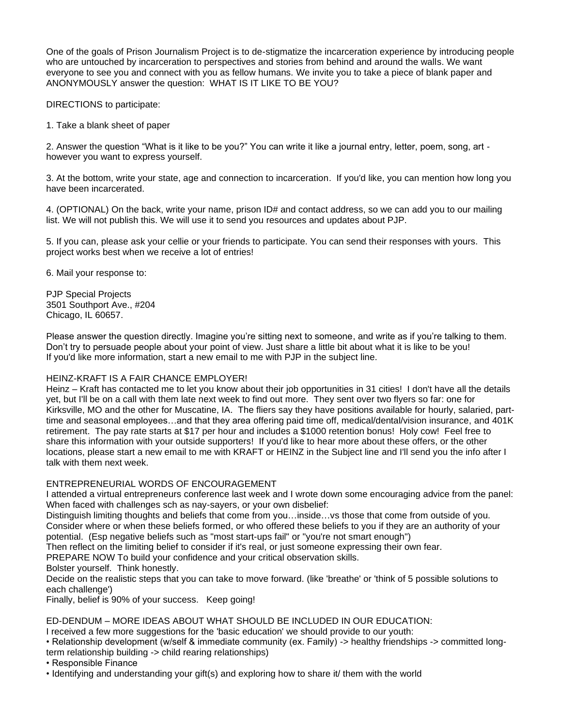One of the goals of Prison Journalism Project is to de-stigmatize the incarceration experience by introducing people who are untouched by incarceration to perspectives and stories from behind and around the walls. We want everyone to see you and connect with you as fellow humans. We invite you to take a piece of blank paper and ANONYMOUSLY answer the question: WHAT IS IT LIKE TO BE YOU?

DIRECTIONS to participate:

1. Take a blank sheet of paper

2. Answer the question "What is it like to be you?" You can write it like a journal entry, letter, poem, song, art however you want to express yourself.

3. At the bottom, write your state, age and connection to incarceration. If you'd like, you can mention how long you have been incarcerated.

4. (OPTIONAL) On the back, write your name, prison ID# and contact address, so we can add you to our mailing list. We will not publish this. We will use it to send you resources and updates about PJP.

5. If you can, please ask your cellie or your friends to participate. You can send their responses with yours. This project works best when we receive a lot of entries!

6. Mail your response to:

PJP Special Projects 3501 Southport Ave., #204 Chicago, IL 60657.

Please answer the question directly. Imagine you're sitting next to someone, and write as if you're talking to them. Don't try to persuade people about your point of view. Just share a little bit about what it is like to be you! If you'd like more information, start a new email to me with PJP in the subject line.

# HEINZ-KRAFT IS A FAIR CHANCE EMPLOYER!

Heinz – Kraft has contacted me to let you know about their job opportunities in 31 cities! I don't have all the details yet, but I'll be on a call with them late next week to find out more. They sent over two flyers so far: one for Kirksville, MO and the other for Muscatine, IA. The fliers say they have positions available for hourly, salaried, parttime and seasonal employees…and that they area offering paid time off, medical/dental/vision insurance, and 401K retirement. The pay rate starts at \$17 per hour and includes a \$1000 retention bonus! Holy cow! Feel free to share this information with your outside supporters! If you'd like to hear more about these offers, or the other locations, please start a new email to me with KRAFT or HEINZ in the Subject line and I'll send you the info after I talk with them next week.

# ENTREPRENEURIAL WORDS OF ENCOURAGEMENT

I attended a virtual entrepreneurs conference last week and I wrote down some encouraging advice from the panel: When faced with challenges sch as nay-sayers, or your own disbelief:

Distinguish limiting thoughts and beliefs that come from you…inside…vs those that come from outside of you. Consider where or when these beliefs formed, or who offered these beliefs to you if they are an authority of your potential. (Esp negative beliefs such as "most start-ups fail" or "you're not smart enough")

Then reflect on the limiting belief to consider if it's real, or just someone expressing their own fear.

PREPARE NOW To build your confidence and your critical observation skills.

Bolster yourself. Think honestly.

Decide on the realistic steps that you can take to move forward. (like 'breathe' or 'think of 5 possible solutions to each challenge')

Finally, belief is 90% of your success. Keep going!

ED-DENDUM – MORE IDEAS ABOUT WHAT SHOULD BE INCLUDED IN OUR EDUCATION:

I received a few more suggestions for the 'basic education' we should provide to our youth:

• Relationship development (w/self & immediate community (ex. Family) -> healthy friendships -> committed longterm relationship building -> child rearing relationships)

• Responsible Finance

• Identifying and understanding your gift(s) and exploring how to share it/ them with the world